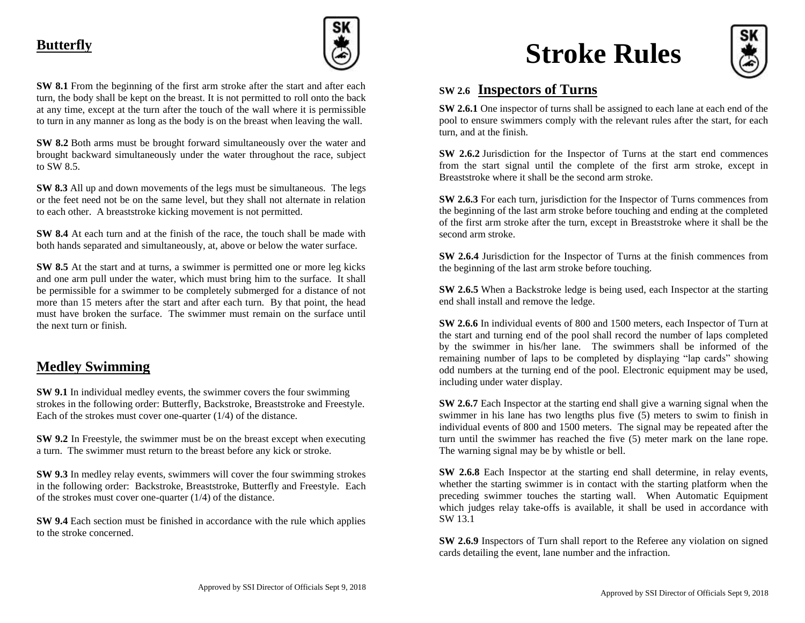### **Butterfly**



**SW 8.1** From the beginning of the first arm stroke after the start and after each turn, the body shall be kept on the breast. It is not permitted to roll onto the back at any time, except at the turn after the touch of the wall where it is permissible to turn in any manner as long as the body is on the breast when leaving the wall.

**SW 8.2** Both arms must be brought forward simultaneously over the water and brought backward simultaneously under the water throughout the race, subject to SW 8.5.

**SW 8.3** All up and down movements of the legs must be simultaneous. The legs or the feet need not be on the same level, but they shall not alternate in relation to each other. A breaststroke kicking movement is not permitted.

**SW 8.4** At each turn and at the finish of the race, the touch shall be made with both hands separated and simultaneously, at, above or below the water surface.

**SW 8.5** At the start and at turns, a swimmer is permitted one or more leg kicks and one arm pull under the water, which must bring him to the surface. It shall be permissible for a swimmer to be completely submerged for a distance of not more than 15 meters after the start and after each turn. By that point, the head must have broken the surface. The swimmer must remain on the surface until the next turn or finish.

#### **Medley Swimming**

**SW 9.1** In individual medley events, the swimmer covers the four swimming strokes in the following order: Butterfly, Backstroke, Breaststroke and Freestyle. Each of the strokes must cover one-quarter (1/4) of the distance.

**SW 9.2** In Freestyle, the swimmer must be on the breast except when executing a turn. The swimmer must return to the breast before any kick or stroke.

**SW 9.3** In medley relay events, swimmers will cover the four swimming strokes in the following order: Backstroke, Breaststroke, Butterfly and Freestyle. Each of the strokes must cover one-quarter (1/4) of the distance.

**SW 9.4** Each section must be finished in accordance with the rule which applies to the stroke concerned.

# **Stroke Rules**



#### **SW 2.6 Inspectors of Turns**

**SW 2.6.1** One inspector of turns shall be assigned to each lane at each end of the pool to ensure swimmers comply with the relevant rules after the start, for each turn, and at the finish.

**SW 2.6.2** Jurisdiction for the Inspector of Turns at the start end commences from the start signal until the complete of the first arm stroke, except in Breaststroke where it shall be the second arm stroke.

**SW 2.6.3** For each turn, jurisdiction for the Inspector of Turns commences from the beginning of the last arm stroke before touching and ending at the completed of the first arm stroke after the turn, except in Breaststroke where it shall be the second arm stroke.

**SW 2.6.4** Jurisdiction for the Inspector of Turns at the finish commences from the beginning of the last arm stroke before touching.

**SW 2.6.5** When a Backstroke ledge is being used, each Inspector at the starting end shall install and remove the ledge.

**SW 2.6.6** In individual events of 800 and 1500 meters, each Inspector of Turn at the start and turning end of the pool shall record the number of laps completed by the swimmer in his/her lane. The swimmers shall be informed of the remaining number of laps to be completed by displaying "lap cards" showing odd numbers at the turning end of the pool. Electronic equipment may be used, including under water display.

**SW 2.6.7** Each Inspector at the starting end shall give a warning signal when the swimmer in his lane has two lengths plus five (5) meters to swim to finish in individual events of 800 and 1500 meters. The signal may be repeated after the turn until the swimmer has reached the five (5) meter mark on the lane rope. The warning signal may be by whistle or bell.

**SW 2.6.8** Each Inspector at the starting end shall determine, in relay events, whether the starting swimmer is in contact with the starting platform when the preceding swimmer touches the starting wall. When Automatic Equipment which judges relay take-offs is available, it shall be used in accordance with SW 13.1

**SW 2.6.9** Inspectors of Turn shall report to the Referee any violation on signed cards detailing the event, lane number and the infraction.